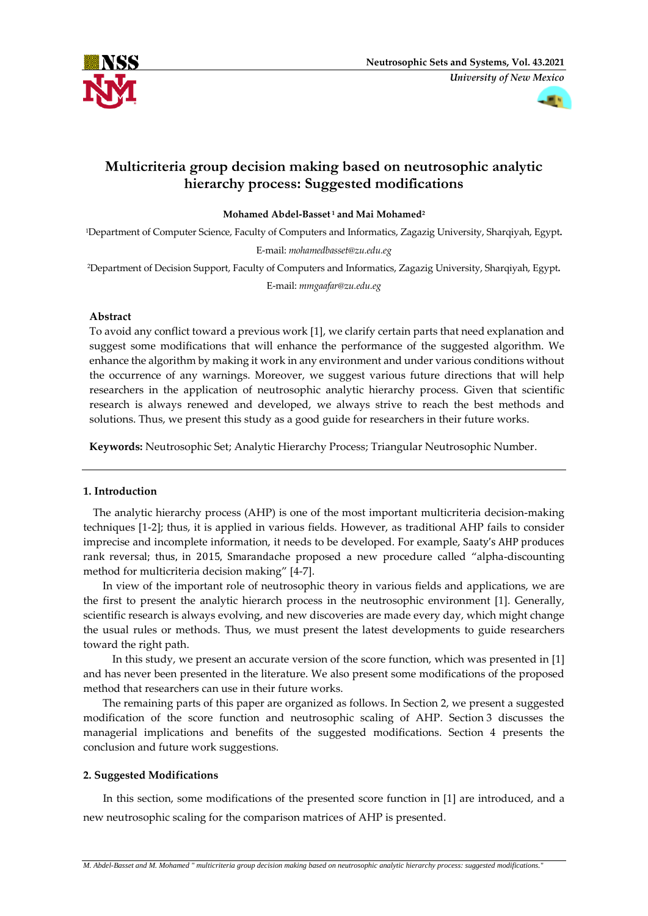



# **Multicriteria group decision making based on neutrosophic analytic hierarchy process: Suggested modifications**

**Mohamed Abdel-Basset <sup>1</sup> and Mai Mohamed<sup>2</sup>**

<sup>1</sup>Department of Computer Science, Faculty of Computers and Informatics, Zagazig University, Sharqiyah, Egypt**.** E-mail: *mohamedbasset@zu.edu.eg*

<sup>2</sup>Department of Decision Support, Faculty of Computers and Informatics, Zagazig University, Sharqiyah, Egypt**.**

E-mail: *mmgaafar@zu.edu.eg*

## **Abstract**

To avoid any conflict toward a previous work [1], we clarify certain parts that need explanation and suggest some modifications that will enhance the performance of the suggested algorithm. We enhance the algorithm by making it work in any environment and under various conditions without the occurrence of any warnings. Moreover, we suggest various future directions that will help researchers in the application of neutrosophic analytic hierarchy process. Given that scientific research is always renewed and developed, we always strive to reach the best methods and solutions. Thus, we present this study as a good guide for researchers in their future works.

**Keywords:** Neutrosophic Set; Analytic Hierarchy Process; Triangular Neutrosophic Number.

## **1. Introduction**

 The analytic hierarchy process (AHP) is one of the most important multicriteria decision-making techniques [1-2]; thus, it is applied in various fields. However, as traditional AHP fails to consider imprecise and incomplete information, it needs to be developed. For example, Saaty's AHP produces rank reversal; thus, in 2015, Smarandache proposed a new procedure called "alpha-discounting method for multicriteria decision making" [4-7].

 In view of the important role of neutrosophic theory in various fields and applications, we are the first to present the analytic hierarch process in the neutrosophic environment [1]. Generally, scientific research is always evolving, and new discoveries are made every day, which might change the usual rules or methods. Thus, we must present the latest developments to guide researchers toward the right path.

 In this study, we present an accurate version of the score function, which was presented in [1] and has never been presented in the literature. We also present some modifications of the proposed method that researchers can use in their future works.

 The remaining parts of this paper are organized as follows. In Section 2, we present a suggested modification of the score function and neutrosophic scaling of AHP. Section 3 discusses the managerial implications and benefits of the suggested modifications. Section 4 presents the conclusion and future work suggestions.

## **2. Suggested Modifications**

In this section, some modifications of the presented score function in [1] are introduced, and a new neutrosophic scaling for the comparison matrices of AHP is presented.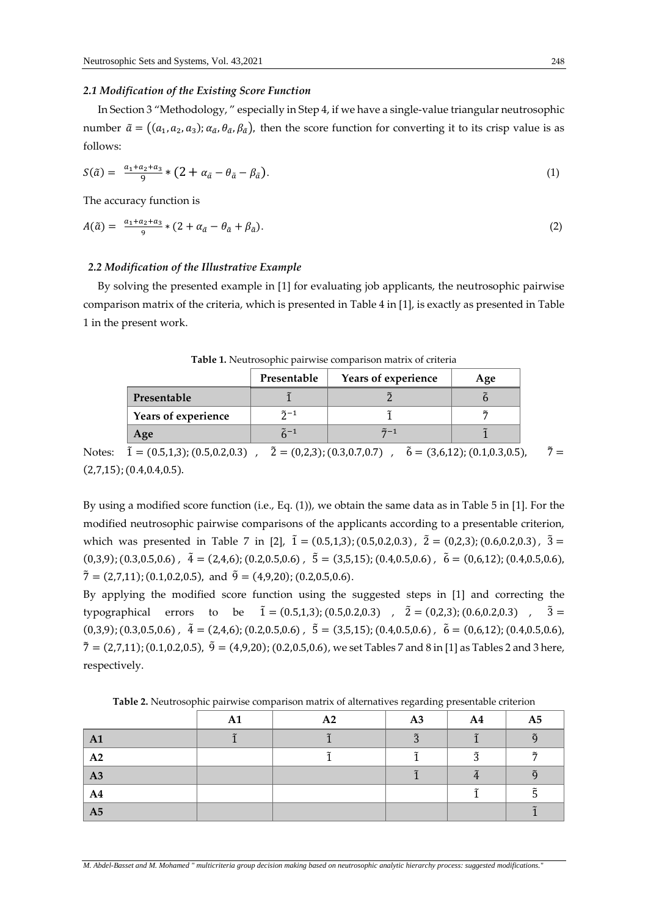#### *2.1 Modification of the Existing Score Function*

 In Section 3 "Methodology, " especially in Step 4, if we have a single-value triangular neutrosophic number  $\tilde{a} = ((a_1, a_2, a_3); a_{\tilde{a}}, \theta_{\tilde{a}}, \beta_{\tilde{a}})$ , then the score function for converting it to its crisp value is as follows:

$$
S(\tilde{a}) = \frac{a_1 + a_2 + a_3}{9} * (2 + a_{\tilde{a}} - \theta_{\tilde{a}} - \beta_{\tilde{a}}). \tag{1}
$$

The accuracy function is

$$
A(\tilde{a}) = \frac{a_1 + a_2 + a_3}{9} * (2 + a_{\tilde{a}} - \theta_{\tilde{a}} + \beta_{\tilde{a}}). \tag{2}
$$

## *2.2 Modification of the Illustrative Example*

 By solving the presented example in [1] for evaluating job applicants, the neutrosophic pairwise comparison matrix of the criteria, which is presented in Table 4 in [1], is exactly as presented in Table 1 in the present work.

|                     | Presentable       | Years of experience | Age |
|---------------------|-------------------|---------------------|-----|
| Presentable         |                   |                     |     |
| Years of experience | $\tilde{2}$ -1    |                     |     |
| Age                 | $\widetilde{r}-1$ | $\tilde{7} - 1$     |     |

Notes:  $\tilde{1} = (0.5,1,3); (0.5,0.2,0.3)$ ,  $\tilde{2} = (0,2,3); (0.3,0.7,0.7)$ ,  $\tilde{6} = (3,6,12); (0.1,0.3,0.5)$ ,  $\tilde{7} =$  $(2,7,15)$ ;  $(0.4,0.4,0.5)$ .

By using a modified score function (i.e., Eq. (1)), we obtain the same data as in Table 5 in [1]. For the modified neutrosophic pairwise comparisons of the applicants according to a presentable criterion, which was presented in Table 7 in [2],  $\tilde{1} = (0.5, 1, 3)$ ; (0.5,0.2,0.3),  $\tilde{2} = (0, 2, 3)$ ; (0.6,0.2,0.3),  $\tilde{3} =$  $(0,3,9)$ ;  $(0.3,0.5,0.6)$ ,  $\tilde{4} = (2,4,6)$ ;  $(0.2,0.5,0.6)$ ,  $\tilde{5} = (3,5,15)$ ;  $(0.4,0.5,0.6)$ ,  $\tilde{6} = (0,6,12)$ ;  $(0.4,0.5,0.6)$ ,  $\tilde{7} = (2,7,11)$ ; (0.1,0.2,0.5), and  $\tilde{9} = (4,9,20)$ ; (0.2,0.5,0.6).

By applying the modified score function using the suggested steps in [1] and correcting the typographical errors to be  $\tilde{1} = (0.5, 1, 3)$ ; (0.5,0.2,0.3),  $\tilde{2} = (0, 2, 3)$ ; (0.6,0.2,0.3),  $\tilde{3} =$  $(0,3,9)$ ;  $(0.3,0.5,0.6)$ ,  $\tilde{4} = (2,4,6)$ ;  $(0.2,0.5,0.6)$ ,  $\tilde{5} = (3,5,15)$ ;  $(0.4,0.5,0.6)$ ,  $\tilde{6} = (0,6,12)$ ;  $(0.4,0.5,0.6)$ ,  $\tilde{7} = (2,7,11)$ ; (0.1,0.2,0.5),  $\tilde{9} = (4,9,20)$ ; (0.2,0.5,0.6), we set Tables 7 and 8 in [1] as Tables 2 and 3 here, respectively.

|                | A1 | A2 | A3             | A <sub>4</sub> | A <sub>5</sub>        |
|----------------|----|----|----------------|----------------|-----------------------|
| $\mathbf{A1}$  |    |    | $\tilde{\tau}$ |                | $\tilde{\Omega}$      |
| A2             |    |    |                | ◠              | $\tilde{\phantom{a}}$ |
| $\vert$ A3     |    |    |                |                |                       |
| A <sub>4</sub> |    |    |                |                |                       |
| A5             |    |    |                |                |                       |

**Table 2.** Neutrosophic pairwise comparison matrix of alternatives regarding presentable criterion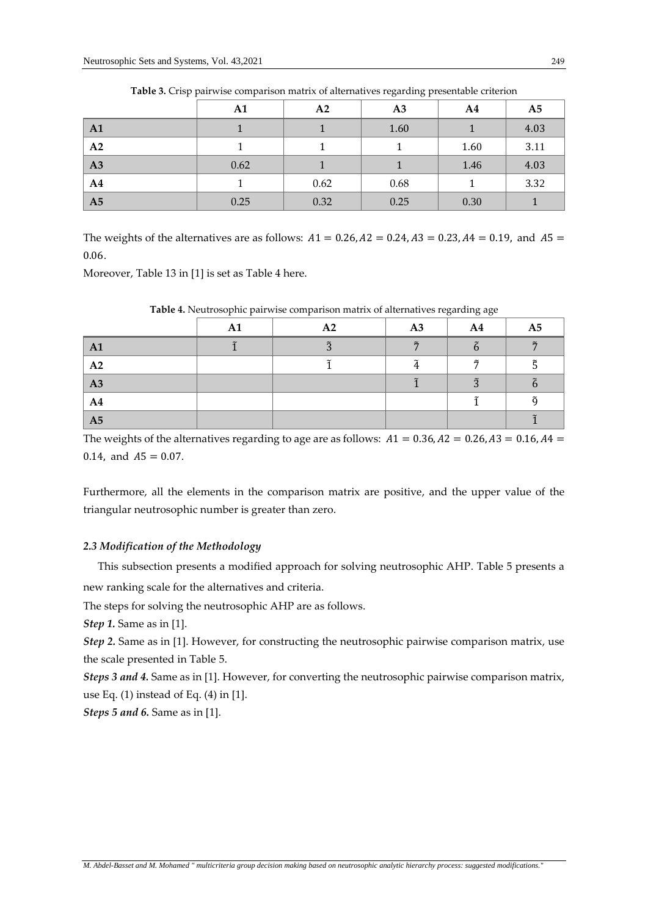|                | A1   | A2   | A <sub>3</sub> | A <sub>4</sub> | A <sub>5</sub> |
|----------------|------|------|----------------|----------------|----------------|
| A1             |      |      | 1.60           |                | 4.03           |
| A2             |      |      |                | 1.60           | 3.11           |
| A3             | 0.62 |      |                | 1.46           | 4.03           |
| A <sub>4</sub> |      | 0.62 | 0.68           |                | 3.32           |
| A <sub>5</sub> | 0.25 | 0.32 | 0.25           | 0.30           |                |

**Table 3.** Crisp pairwise comparison matrix of alternatives regarding presentable criterion

The weights of the alternatives are as follows:  $A1 = 0.26$ ,  $A2 = 0.24$ ,  $A3 = 0.23$ ,  $A4 = 0.19$ , and  $A5 =$ 0.06.

Moreover, Table 13 in [1] is set as Table 4 here.

|                | A1 | A2 | A3     | A <sub>4</sub>       | A <sub>5</sub> |
|----------------|----|----|--------|----------------------|----------------|
| A1             |    |    | $\sim$ |                      | $\tilde{r}$    |
| A2             |    |    |        | $\tilde{r}$          |                |
| A3             |    |    |        | $\tilde{\mathbf{a}}$ |                |
| A <sub>4</sub> |    |    |        |                      | õ              |
| A5             |    |    |        |                      |                |

**Table 4.** Neutrosophic pairwise comparison matrix of alternatives regarding age

The weights of the alternatives regarding to age are as follows:  $A1 = 0.36$ ,  $A2 = 0.26$ ,  $A3 = 0.16$ ,  $A4 = 0.36$ 0.14, and  $A5 = 0.07$ .

Furthermore, all the elements in the comparison matrix are positive, and the upper value of the triangular neutrosophic number is greater than zero.

#### *2.3 Modification of the Methodology*

 This subsection presents a modified approach for solving neutrosophic AHP. Table 5 presents a new ranking scale for the alternatives and criteria.

The steps for solving the neutrosophic AHP are as follows.

*Step 1.* Same as in [1].

*Step 2.* Same as in [1]. However, for constructing the neutrosophic pairwise comparison matrix, use the scale presented in Table 5.

*Steps 3 and 4.* Same as in [1]. However, for converting the neutrosophic pairwise comparison matrix, use Eq. (1) instead of Eq. (4) in [1].

*Steps 5 and 6.* Same as in [1].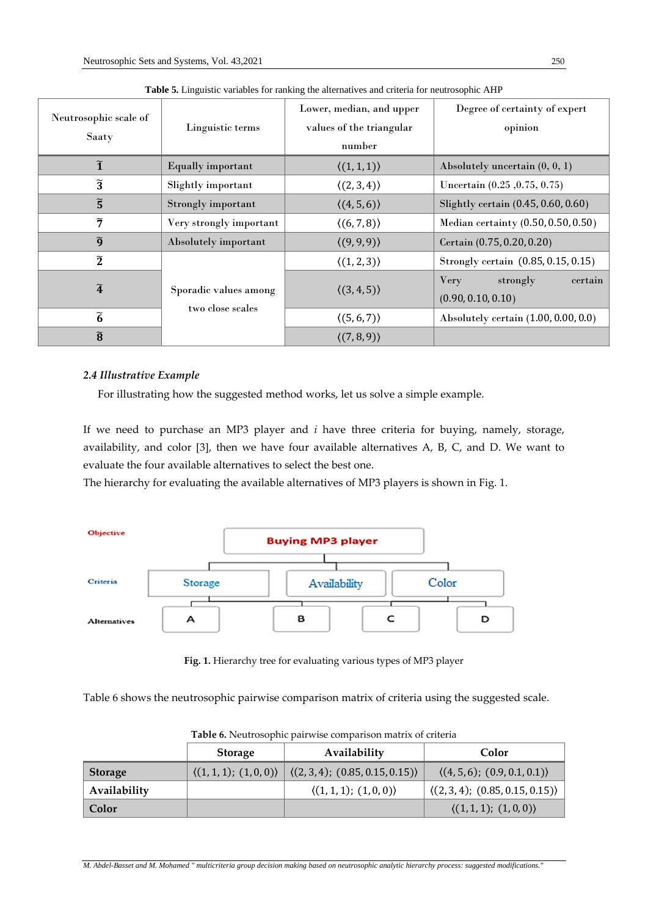| Neutrosophic scale of<br>Saaty | Linguistic terms                          | Lower, median, and upper<br>values of the triangular<br>number | Degree of certainty of expert<br>opinion                 |  |
|--------------------------------|-------------------------------------------|----------------------------------------------------------------|----------------------------------------------------------|--|
| $\widetilde{\mathbf{1}}$       | <b>Equally important</b>                  | $\langle (1,1,1) \rangle$                                      | Absolutely uncertain $(0, 0, 1)$                         |  |
| $\widetilde{3}$                | Slightly important                        | $\langle (2,3,4) \rangle$                                      | Uncertain (0.25, 0.75, 0.75)                             |  |
| $\widetilde{5}$                | Strongly important                        | (4, 5, 6)                                                      | Slightly certain (0.45, 0.60, 0.60)                      |  |
| $\widetilde{7}$                | Very strongly important                   | $\langle (6,7,8) \rangle$                                      | Median certainty (0.50, 0.50, 0.50)                      |  |
| $\widetilde{g}$                | Absolutely important                      | (9, 9, 9)                                                      | Certain (0.75, 0.20, 0.20)                               |  |
| $\widetilde{2}$                |                                           | $\langle (1,2,3) \rangle$                                      | Strongly certain (0.85, 0.15, 0.15)                      |  |
| $\widetilde{\bf 4}$            | Sporadic values among<br>two close scales | $\langle (3,4,5) \rangle$                                      | <b>Very</b><br>certain<br>strongly<br>(0.90, 0.10, 0.10) |  |
| $\tilde{6}$                    |                                           | $\langle (5,6,7) \rangle$                                      | Absolutely certain $(1.00, 0.00, 0.0)$                   |  |
| $\widetilde{\mathbf{8}}$       |                                           | $\langle (7,8,9) \rangle$                                      |                                                          |  |

**Table 5.** Linguistic variables for ranking the alternatives and criteria for neutrosophic AHP

## *2.4 Illustrative Example*

For illustrating how the suggested method works, let us solve a simple example.

If we need to purchase an MP3 player and *i* have three criteria for buying, namely, storage, availability, and color [3], then we have four available alternatives A, B, C, and D. We want to evaluate the four available alternatives to select the best one.

The hierarchy for evaluating the available alternatives of MP3 players is shown in Fig. 1.



**Fig. 1.** Hierarchy tree for evaluating various types of MP3 player

Table 6 shows the neutrosophic pairwise comparison matrix of criteria using the suggested scale.

|              | <b>Table 0.</b> INCREDSOPHIC PAILWESC COMPAILSON MARIES OF CHICHA |                                                                                |                                             |  |  |  |
|--------------|-------------------------------------------------------------------|--------------------------------------------------------------------------------|---------------------------------------------|--|--|--|
|              | <b>Storage</b>                                                    | Availability                                                                   | Color                                       |  |  |  |
| Storage      |                                                                   | $\langle (1,1,1); (1,0,0) \rangle   \langle (2,3,4); (0.85,0.15,0.15) \rangle$ | $\langle (4,5,6); (0.9,0.1,0.1) \rangle$    |  |  |  |
| Availability |                                                                   | $\langle (1,1,1); (1,0,0) \rangle$                                             | $\langle (2,3,4); (0.85,0.15,0.15) \rangle$ |  |  |  |
| Color        |                                                                   |                                                                                | $\langle (1,1,1); (1,0,0) \rangle$          |  |  |  |

**Table 6.** Neutrosophic pairwise comparison matrix of criteria

*M. Abdel-Basset and M. Mohamed " multicriteria group decision making based on neutrosophic analytic hierarchy process: suggested modifications.*"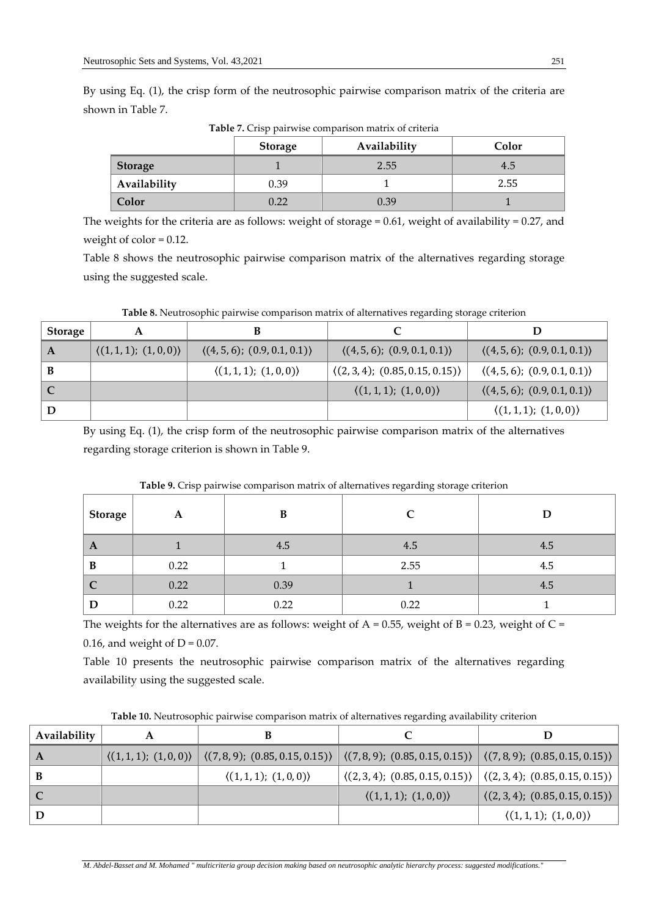By using Eq. (1), the crisp form of the neutrosophic pairwise comparison matrix of the criteria are shown in Table 7.

|                | <b>Storage</b> | Availability | Color |
|----------------|----------------|--------------|-------|
| <b>Storage</b> |                | 2.55         | 4.5   |
| Availability   | 0.39           |              | 2.55  |
| Color          | 0.22           | 0.39         |       |

**Table 7.** Crisp pairwise comparison matrix of criteria

The weights for the criteria are as follows: weight of storage  $= 0.61$ , weight of availability  $= 0.27$ , and weight of color = 0.12.

Table 8 shows the neutrosophic pairwise comparison matrix of the alternatives regarding storage using the suggested scale.

| <b>Storage</b> | Α                                  |                                          |                                             |                                          |
|----------------|------------------------------------|------------------------------------------|---------------------------------------------|------------------------------------------|
| $\mathbf{A}$   | $\langle (1,1,1); (1,0,0) \rangle$ | $\langle (4,5,6); (0.9,0.1,0.1) \rangle$ | $\langle (4,5,6); (0.9,0.1,0.1) \rangle$    | $\langle (4,5,6); (0.9,0.1,0.1) \rangle$ |
| B              |                                    | $\langle (1,1,1); (1,0,0) \rangle$       | $\langle (2,3,4); (0.85,0.15,0.15) \rangle$ | $\langle (4,5,6); (0.9,0.1,0.1) \rangle$ |
| C              |                                    |                                          | $\langle (1,1,1); (1,0,0) \rangle$          | $\langle (4,5,6); (0.9,0.1,0.1) \rangle$ |
| D              |                                    |                                          |                                             | $\langle (1,1,1); (1,0,0) \rangle$       |

**Table 8.** Neutrosophic pairwise comparison matrix of alternatives regarding storage criterion

By using Eq. (1), the crisp form of the neutrosophic pairwise comparison matrix of the alternatives regarding storage criterion is shown in Table 9.

|         | $\mathbf{r}$ |      | 0 0 0 |     |
|---------|--------------|------|-------|-----|
| Storage | A            | B    |       | D   |
| A       |              | 4.5  | 4.5   | 4.5 |
| B       | 0.22         |      | 2.55  | 4.5 |
| C       | 0.22         | 0.39 |       | 4.5 |
| D       | 0.22         | 0.22 | 0.22  |     |

**Table 9.** Crisp pairwise comparison matrix of alternatives regarding storage criterion

The weights for the alternatives are as follows: weight of  $A = 0.55$ , weight of  $B = 0.23$ , weight of  $C =$ 0.16, and weight of  $D = 0.07$ .

Table 10 presents the neutrosophic pairwise comparison matrix of the alternatives regarding availability using the suggested scale.

| Availability |                                                                                                                                                                        |                                    |                                                                                                             |
|--------------|------------------------------------------------------------------------------------------------------------------------------------------------------------------------|------------------------------------|-------------------------------------------------------------------------------------------------------------|
| A            | $\langle (1,1,1); (1,0,0) \rangle$ $\langle (7,8,9); (0.85,0.15,0.15) \rangle$ $\langle (7,8,9); (0.85,0.15,0.15) \rangle$ $\langle (7,8,9); (0.85,0.15,0.15) \rangle$ |                                    |                                                                                                             |
|              | $\langle (1,1,1); (1,0,0) \rangle$                                                                                                                                     |                                    | $\vert \langle (2,3,4); (0.85, 0.15, 0.15) \rangle \vert \langle (2,3,4); (0.85, 0.15, 0.15) \rangle \vert$ |
|              |                                                                                                                                                                        | $\langle (1,1,1); (1,0,0) \rangle$ | $\vert \langle (2,3,4); (0.85,0.15,0.15) \rangle \vert$                                                     |
|              |                                                                                                                                                                        |                                    | $\langle (1,1,1); (1,0,0) \rangle$                                                                          |

**Table 10.** Neutrosophic pairwise comparison matrix of alternatives regarding availability criterion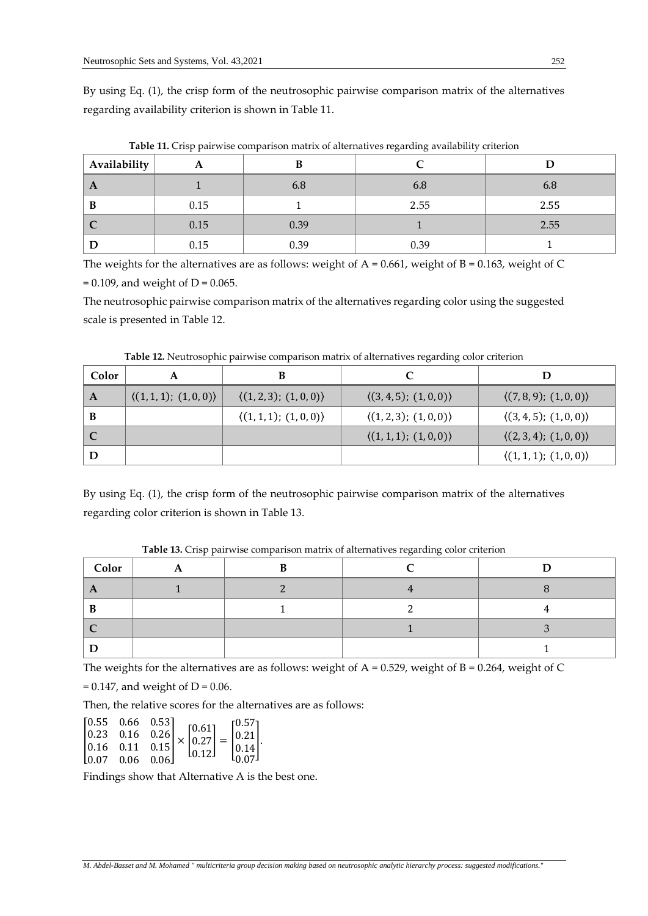By using Eq. (1), the crisp form of the neutrosophic pairwise comparison matrix of the alternatives regarding availability criterion is shown in Table 11.

| Availability | A    |      |      |      |
|--------------|------|------|------|------|
| $\mathbf{A}$ |      | 6.8  | 6.8  | 6.8  |
| B            | 0.15 |      | 2.55 | 2.55 |
| 1 C          | 0.15 | 0.39 |      | 2.55 |
|              | 0.15 | 0.39 | 0.39 |      |

**Table 11.** Crisp pairwise comparison matrix of alternatives regarding availability criterion

The weights for the alternatives are as follows: weight of  $A = 0.661$ , weight of  $B = 0.163$ , weight of C  $= 0.109$ , and weight of D = 0.065.

The neutrosophic pairwise comparison matrix of the alternatives regarding color using the suggested scale is presented in Table 12.

| Color | A                                  |                                    |                                    |                                    |
|-------|------------------------------------|------------------------------------|------------------------------------|------------------------------------|
| A     | $\langle (1,1,1); (1,0,0) \rangle$ | $\langle (1,2,3); (1,0,0) \rangle$ | $\langle (3,4,5); (1,0,0) \rangle$ | $\langle (7,8,9); (1,0,0) \rangle$ |
|       |                                    | $\langle (1,1,1); (1,0,0) \rangle$ | $\langle (1,2,3); (1,0,0) \rangle$ | $\langle (3,4,5); (1,0,0) \rangle$ |
|       |                                    |                                    | $\langle (1,1,1); (1,0,0) \rangle$ | $\langle (2,3,4); (1,0,0) \rangle$ |
|       |                                    |                                    |                                    | $\langle (1,1,1); (1,0,0) \rangle$ |

**Table 12.** Neutrosophic pairwise comparison matrix of alternatives regarding color criterion

By using Eq. (1), the crisp form of the neutrosophic pairwise comparison matrix of the alternatives regarding color criterion is shown in Table 13.

| Color | . . |  |  |
|-------|-----|--|--|
|       |     |  |  |
|       |     |  |  |
|       |     |  |  |
|       |     |  |  |

**Table 13.** Crisp pairwise comparison matrix of alternatives regarding color criterion

The weights for the alternatives are as follows: weight of  $A = 0.529$ , weight of  $B = 0.264$ , weight of C

 $= 0.147$ , and weight of D = 0.06.

Then, the relative scores for the alternatives are as follows:

$$
\begin{bmatrix} 0.55 & 0.66 & 0.53 \\ 0.23 & 0.16 & 0.26 \\ 0.16 & 0.11 & 0.15 \\ 0.07 & 0.06 & 0.06 \end{bmatrix} \times \begin{bmatrix} 0.61 \\ 0.27 \\ 0.12 \end{bmatrix} = \begin{bmatrix} 0.57 \\ 0.21 \\ 0.14 \\ 0.07 \end{bmatrix}.
$$

Findings show that Alternative A is the best one.

*M. Abdel-Basset and M. Mohamed " multicriteria group decision making based on neutrosophic analytic hierarchy process: suggested modifications.*"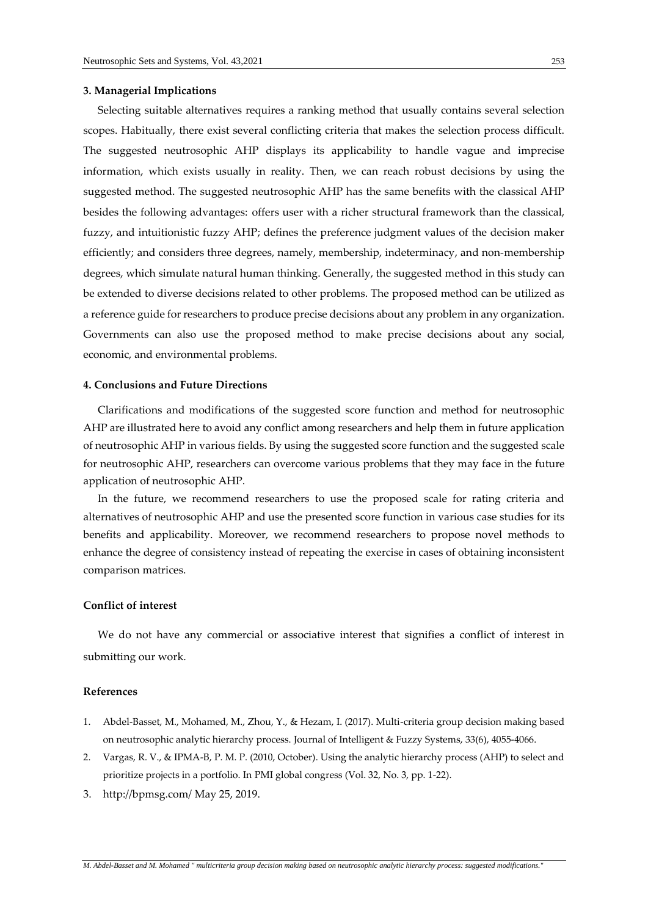#### **3. Managerial Implications**

 Selecting suitable alternatives requires a ranking method that usually contains several selection scopes. Habitually, there exist several conflicting criteria that makes the selection process difficult. The suggested neutrosophic AHP displays its applicability to handle vague and imprecise information, which exists usually in reality. Then, we can reach robust decisions by using the suggested method. The suggested neutrosophic AHP has the same benefits with the classical AHP besides the following advantages: offers user with a richer structural framework than the classical, fuzzy, and intuitionistic fuzzy AHP; defines the preference judgment values of the decision maker efficiently; and considers three degrees, namely, membership, indeterminacy, and non-membership degrees, which simulate natural human thinking. Generally, the suggested method in this study can be extended to diverse decisions related to other problems. The proposed method can be utilized as a reference guide for researchers to produce precise decisions about any problem in any organization. Governments can also use the proposed method to make precise decisions about any social, economic, and environmental problems.

#### **4. Conclusions and Future Directions**

 Clarifications and modifications of the suggested score function and method for neutrosophic AHP are illustrated here to avoid any conflict among researchers and help them in future application of neutrosophic AHP in various fields. By using the suggested score function and the suggested scale for neutrosophic AHP, researchers can overcome various problems that they may face in the future application of neutrosophic AHP.

 In the future, we recommend researchers to use the proposed scale for rating criteria and alternatives of neutrosophic AHP and use the presented score function in various case studies for its benefits and applicability. Moreover, we recommend researchers to propose novel methods to enhance the degree of consistency instead of repeating the exercise in cases of obtaining inconsistent comparison matrices.

### **Conflict of interest**

 We do not have any commercial or associative interest that signifies a conflict of interest in submitting our work.

#### **References**

- 1. Abdel-Basset, M., Mohamed, M., Zhou, Y., & Hezam, I. (2017). Multi-criteria group decision making based on neutrosophic analytic hierarchy process. Journal of Intelligent & Fuzzy Systems, 33(6), 4055-4066.
- 2. Vargas, R. V., & IPMA-B, P. M. P. (2010, October). Using the analytic hierarchy process (AHP) to select and prioritize projects in a portfolio. In PMI global congress (Vol. 32, No. 3, pp. 1-22).
- 3. http://bpmsg.com/ May 25, 2019.

*M. Abdel-Basset and M. Mohamed " multicriteria group decision making based on neutrosophic analytic hierarchy process: suggested modifications.*"